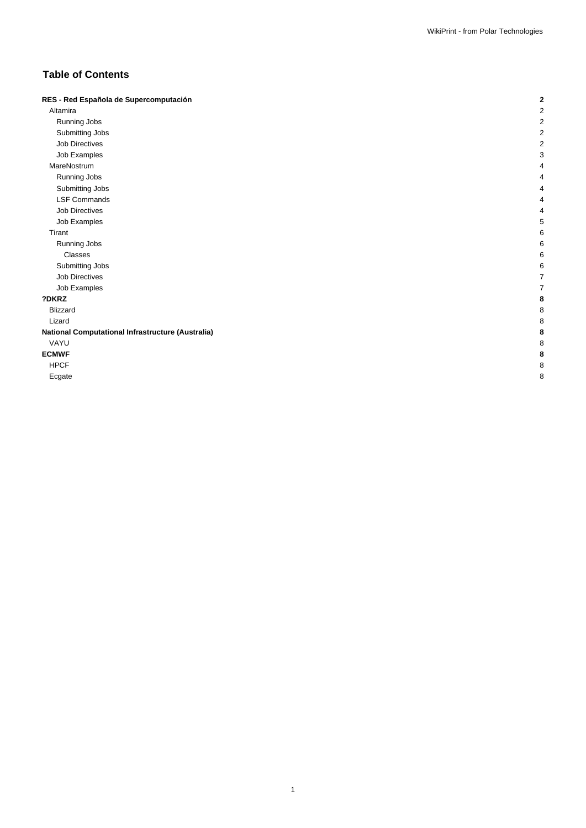# **Table of Contents**

| RES - Red Española de Supercomputación            | 2 |
|---------------------------------------------------|---|
| Altamira                                          | 2 |
| Running Jobs                                      | 2 |
| Submitting Jobs                                   | 2 |
| <b>Job Directives</b>                             | 2 |
| Job Examples                                      | 3 |
| MareNostrum                                       | 4 |
| Running Jobs                                      |   |
| Submitting Jobs                                   |   |
| <b>LSF Commands</b>                               | 4 |
| <b>Job Directives</b>                             | 4 |
| Job Examples                                      | 5 |
| Tirant                                            | 6 |
| Running Jobs                                      | 6 |
| Classes                                           | 6 |
| Submitting Jobs                                   | 6 |
| <b>Job Directives</b>                             |   |
| Job Examples                                      |   |
| ?DKRZ                                             | 8 |
| <b>Blizzard</b>                                   | 8 |
| Lizard                                            | 8 |
| National Computational Infrastructure (Australia) | 8 |
| VAYU                                              | 8 |
| <b>ECMWF</b>                                      | 8 |
| <b>HPCF</b>                                       | 8 |
| Ecgate                                            | 8 |
|                                                   |   |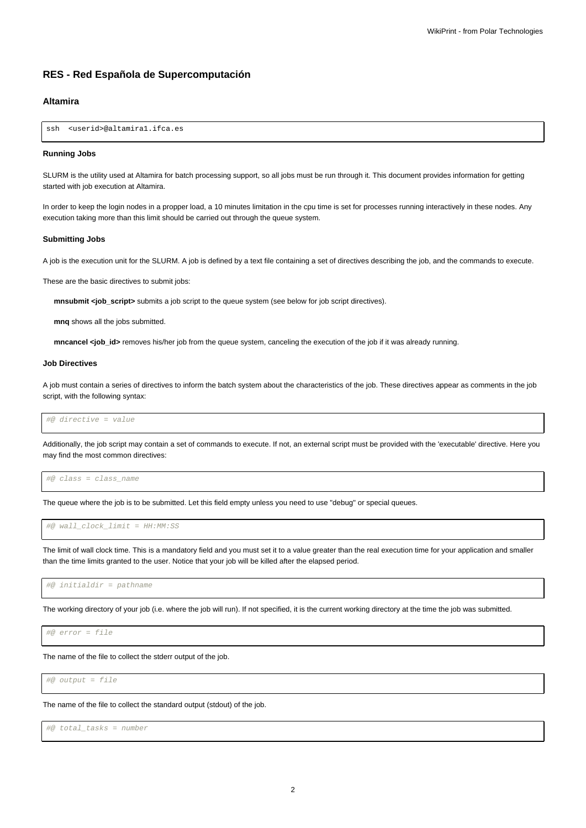# **RES - Red Española de Supercomputación**

# **Altamira**

ssh <userid>@altamira1.ifca.es

### **Running Jobs**

SLURM is the utility used at Altamira for batch processing support, so all jobs must be run through it. This document provides information for getting started with job execution at Altamira.

In order to keep the login nodes in a propper load, a 10 minutes limitation in the cpu time is set for processes running interactively in these nodes. Any execution taking more than this limit should be carried out through the queue system.

### **Submitting Jobs**

A job is the execution unit for the SLURM. A job is defined by a text file containing a set of directives describing the job, and the commands to execute.

These are the basic directives to submit jobs:

**mnsubmit <job\_script>** submits a job script to the queue system (see below for job script directives).

**mnq** shows all the jobs submitted.

**mncancel <job** id> removes his/her job from the queue system, canceling the execution of the job if it was already running.

## **Job Directives**

A job must contain a series of directives to inform the batch system about the characteristics of the job. These directives appear as comments in the job script, with the following syntax:

#@ directive = value

Additionally, the job script may contain a set of commands to execute. If not, an external script must be provided with the 'executable' directive. Here you may find the most common directives:

#@ class = class\_name

The queue where the job is to be submitted. Let this field empty unless you need to use "debug" or special queues.

#@ wall\_clock\_limit = HH:MM:SS

The limit of wall clock time. This is a mandatory field and you must set it to a value greater than the real execution time for your application and smaller than the time limits granted to the user. Notice that your job will be killed after the elapsed period.

#@ initialdir = pathname

The working directory of your job (i.e. where the job will run). If not specified, it is the current working directory at the time the job was submitted.

#@ error = file

The name of the file to collect the stderr output of the job.

#@ output = file

The name of the file to collect the standard output (stdout) of the job.

#@ total\_tasks = number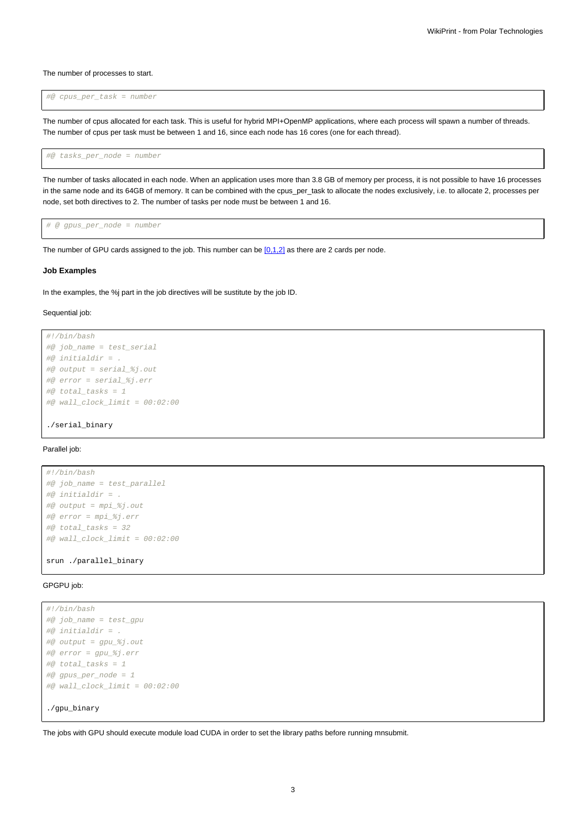The number of processes to start.

#@ cpus\_per\_task = number

The number of cpus allocated for each task. This is useful for hybrid MPI+OpenMP applications, where each process will spawn a number of threads. The number of cpus per task must be between 1 and 16, since each node has 16 cores (one for each thread).

#@ tasks\_per\_node = number

The number of tasks allocated in each node. When an application uses more than 3.8 GB of memory per process, it is not possible to have 16 processes in the same node and its 64GB of memory. It can be combined with the cpus per task to allocate the nodes exclusively, i.e. to allocate 2, processes per node, set both directives to 2. The number of tasks per node must be between 1 and 16.

# @ gpus\_per\_node = number

The number of GPU cards assigned to the job. This number can be  $[0,1,2]$  as there are 2 cards per node.

### **Job Examples**

In the examples, the %j part in the job directives will be sustitute by the job ID.

### Sequential job:

```
#!/bin/bash
#@ job_name = test_serial
#@ initialdir = .
#@ output = serial_%j.out
#@ error = serial_%j.err
#@ total_tasks = 1
\#@ wall_clock_limit = 00:02:00
```
./serial\_binary

### Parallel job:

```
#!/bin/bash
#@ job_name = test_parallel
#@ initialdir = .
#@ output = mpi_%j.out
#@ error = mpi_%j.err
\#@ total tasks = 32
#@ wall clock limit = 00:02:00
```
srun ./parallel\_binary

## GPGPU job:

```
#!/bin/bash
#@ job_name = test_gpu
#@ initialdir = .
#@ output = gpu_%j.out
#@ error = gpu_%j.err
#@ total_tasks = 1
#@ gpus_per_node = 1
#@ wall_clock_limit = 00:02:00
./gpu_binary
```
The jobs with GPU should execute module load CUDA in order to set the library paths before running mnsubmit.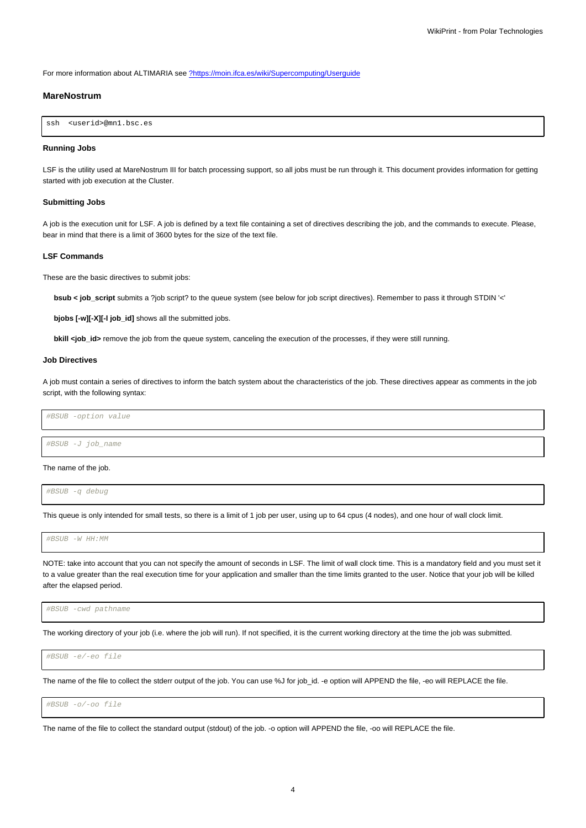For more information about ALTIMARIA see [?https://moin.ifca.es/wiki/Supercomputing/Userguide](https://moin.ifca.es/wiki/Supercomputing/Userguide)

## **MareNostrum**

```
ssh <userid>@mn1.bsc.es
```
## **Running Jobs**

LSF is the utility used at MareNostrum III for batch processing support, so all jobs must be run through it. This document provides information for getting started with job execution at the Cluster.

## **Submitting Jobs**

A job is the execution unit for LSF. A job is defined by a text file containing a set of directives describing the job, and the commands to execute. Please, bear in mind that there is a limit of 3600 bytes for the size of the text file.

### **LSF Commands**

These are the basic directives to submit jobs:

**bsub < job\_script** submits a ?job script? to the queue system (see below for job script directives). Remember to pass it through STDIN '<'

**bjobs [-w][-X][-l job\_id]** shows all the submitted jobs.

**bkill <job\_id>** remove the job from the queue system, canceling the execution of the processes, if they were still running.

# **Job Directives**

A job must contain a series of directives to inform the batch system about the characteristics of the job. These directives appear as comments in the job script, with the following syntax:

#BSUB -option value

#BSUB -J job\_name

### The name of the job.

#BSUB -q debug

This queue is only intended for small tests, so there is a limit of 1 job per user, using up to 64 cpus (4 nodes), and one hour of wall clock limit.

#BSUB -W HH:MM

NOTE: take into account that you can not specify the amount of seconds in LSF. The limit of wall clock time. This is a mandatory field and you must set it to a value greater than the real execution time for your application and smaller than the time limits granted to the user. Notice that your job will be killed after the elapsed period.

#BSUB -cwd pathname

The working directory of your job (i.e. where the job will run). If not specified, it is the current working directory at the time the job was submitted.

#BSUB -e/-eo file

The name of the file to collect the stderr output of the job. You can use %J for job\_id. -e option will APPEND the file, -eo will REPLACE the file.

#BSUB -o/-oo file

The name of the file to collect the standard output (stdout) of the job. -o option will APPEND the file, -oo will REPLACE the file.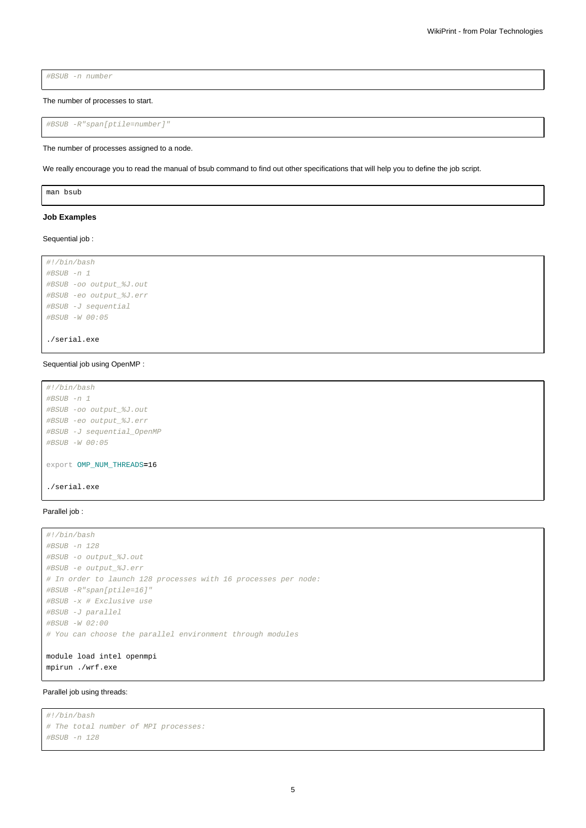#BSUB -n number

The number of processes to start.

```
#BSUB -R"span[ptile=number]"
```
The number of processes assigned to a node.

We really encourage you to read the manual of bsub command to find out other specifications that will help you to define the job script.

man bsub

### **Job Examples**

## Sequential job :

```
#!/bin/bash
#BSUB -n 1
#BSUB -oo output_%J.out
#BSUB -eo output_%J.err
#BSUB -J sequential
#BSUB -W 00:05
```
./serial.exe

## Sequential job using OpenMP :

```
#!/bin/bash
#BSUB -n 1
#BSUB -oo output_%J.out
#BSUB -eo output_%J.err
#BSUB -J sequential_OpenMP
#BSUB -W 00:05
export OMP_NUM_THREADS=16
./serial.exe
```
# Parallel job :

```
#!/bin/bash
#BSUB -n 128
#BSUB -o output_%J.out
#BSUB -e output_%J.err
# In order to launch 128 processes with 16 processes per node:
#BSUB -R"span[ptile=16]"
#BSUB -x # Exclusive use
#BSUB -J parallel
#BSUB -W 02:00
# You can choose the parallel environment through modules
module load intel openmpi
```
mpirun ./wrf.exe

## Parallel job using threads:

```
#!/bin/bash
# The total number of MPI processes:
#BSUB -n 128
```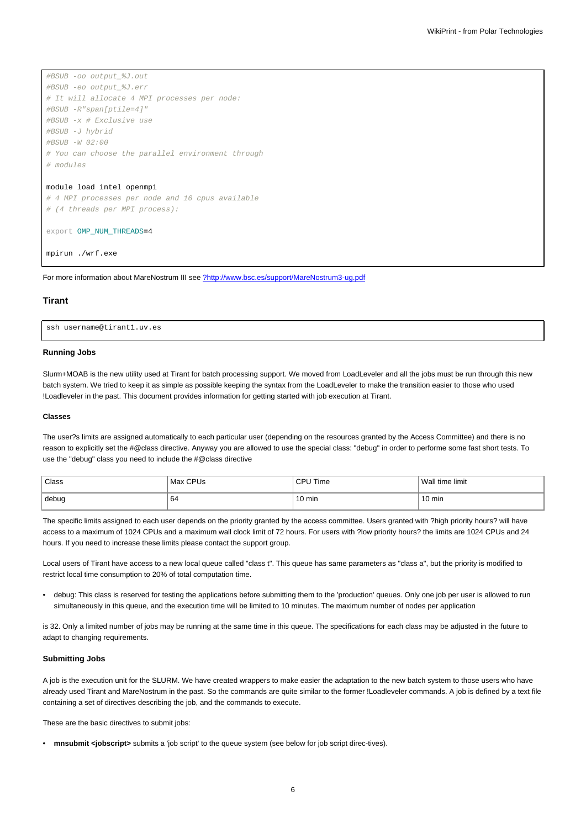```
#BSUB -oo output_%J.out
#BSUB -eo output_%J.err
# It will allocate 4 MPI processes per node:
#BSUB -R"span[ptile=4]"
#BSUB -x # Exclusive use
#BSUB -J hybrid
#BSUB -W 02:00
# You can choose the parallel environment through
# modules
module load intel openmpi
```
# 4 MPI processes per node and 16 cpus available # (4 threads per MPI process):

```
export OMP_NUM_THREADS=4
```
mpirun ./wrf.exe

For more information about MareNostrum III see [?http://www.bsc.es/support/MareNostrum3-ug.pdf](http://www.bsc.es/support/MareNostrum3-ug.pdf)

## **Tirant**

ssh username@tirant1.uv.es

## **Running Jobs**

Slurm+MOAB is the new utility used at Tirant for batch processing support. We moved from LoadLeveler and all the jobs must be run through this new batch system. We tried to keep it as simple as possible keeping the syntax from the LoadLeveler to make the transition easier to those who used !Loadleveler in the past. This document provides information for getting started with job execution at Tirant.

### **Classes**

The user?s limits are assigned automatically to each particular user (depending on the resources granted by the Access Committee) and there is no reason to explicitly set the #@class directive. Anyway you are allowed to use the special class: "debug" in order to performe some fast short tests. To use the "debug" class you need to include the #@class directive

| Class | Max CPUs | CPU Time         | Wall time limit |
|-------|----------|------------------|-----------------|
| debug | 64       | $10 \text{ min}$ | 10 min          |

The specific limits assigned to each user depends on the priority granted by the access committee. Users granted with ?high priority hours? will have access to a maximum of 1024 CPUs and a maximum wall clock limit of 72 hours. For users with ?low priority hours? the limits are 1024 CPUs and 24 hours. If you need to increase these limits please contact the support group.

Local users of Tirant have access to a new local queue called "class t". This queue has same parameters as "class a", but the priority is modified to restrict local time consumption to 20% of total computation time.

• debug: This class is reserved for testing the applications before submitting them to the 'production' queues. Only one job per user is allowed to run simultaneously in this queue, and the execution time will be limited to 10 minutes. The maximum number of nodes per application

is 32. Only a limited number of jobs may be running at the same time in this queue. The specifications for each class may be adjusted in the future to adapt to changing requirements.

## **Submitting Jobs**

A job is the execution unit for the SLURM. We have created wrappers to make easier the adaptation to the new batch system to those users who have already used Tirant and MareNostrum in the past. So the commands are quite similar to the former !Loadleveler commands. A job is defined by a text file containing a set of directives describing the job, and the commands to execute.

These are the basic directives to submit jobs:

• **mnsubmit <jobscript>** submits a 'job script' to the queue system (see below for job script direc-tives).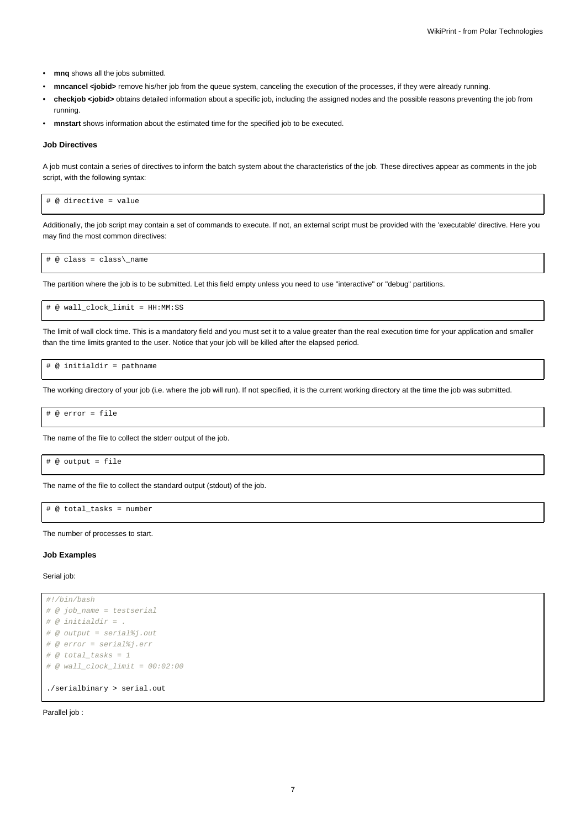- **mnq** shows all the jobs submitted.
- **mncancel <jobid>** remove his/her job from the queue system, canceling the execution of the processes, if they were already running.
- **checkjob <jobid>** obtains detailed information about a specific job, including the assigned nodes and the possible reasons preventing the job from running.
- **mnstart** shows information about the estimated time for the specified job to be executed.

#### **Job Directives**

A job must contain a series of directives to inform the batch system about the characteristics of the job. These directives appear as comments in the job script, with the following syntax:

# @ directive = value

Additionally, the job script may contain a set of commands to execute. If not, an external script must be provided with the 'executable' directive. Here you may find the most common directives:

# @ class = class\\_name

The partition where the job is to be submitted. Let this field empty unless you need to use "interactive" or "debug" partitions.

# @ wall\_clock\_limit = HH:MM:SS

The limit of wall clock time. This is a mandatory field and you must set it to a value greater than the real execution time for your application and smaller than the time limits granted to the user. Notice that your job will be killed after the elapsed period.

# @ initialdir = pathname

The working directory of your job (i.e. where the job will run). If not specified, it is the current working directory at the time the job was submitted.

# @ error = file

The name of the file to collect the stderr output of the job.

```
# @ output = file
```
The name of the file to collect the standard output (stdout) of the job.

# @ total\_tasks = number

The number of processes to start.

## **Job Examples**

Serial job:

```
#!/bin/bash
# @ job_name = testserial
# @ initial dir = .# @ output = serial%j.out
# @ error = serial%j.err
# @ total tasks = 1# @ wall_clock_limit = 00:02:00
./serialbinary > serial.out
```
Parallel job :